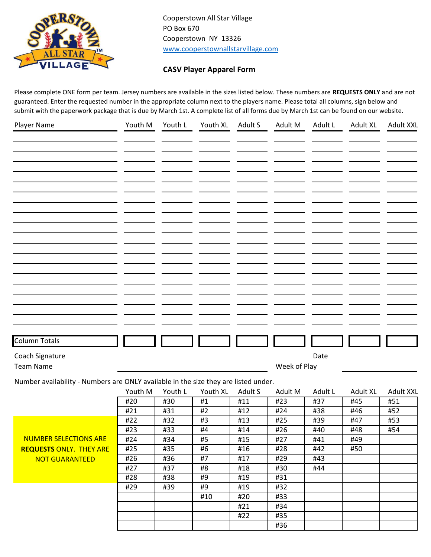

Cooperstown All Star Village PO Box 670 Cooperstown NY 13326 [www.cooperstownallstarvillage.com](http://www.cooperstownallstarvillage.com/)

## **CASV Player Apparel Form**

Please complete ONE form per team. Jersey numbers are available in the sizes listed below. These numbers are **REQUESTS ONLY** and are not guaranteed. Enter the requested number in the appropriate column next to the players name. Please total all columns, sign below and submit with the paperwork package that is due by March 1st. A complete list of all forms due by March 1st can be found on our website.

| Player Name                                                                         | Youth M    | Youth L    | Youth XL | Adult S    | Adult M      | Adult L    | <b>Adult XL</b> | <b>Adult XXL</b> |
|-------------------------------------------------------------------------------------|------------|------------|----------|------------|--------------|------------|-----------------|------------------|
|                                                                                     |            |            |          |            |              |            |                 |                  |
|                                                                                     |            |            |          |            |              |            |                 |                  |
|                                                                                     |            |            |          |            |              |            |                 |                  |
|                                                                                     |            |            |          |            |              |            |                 |                  |
|                                                                                     |            |            |          |            |              |            |                 |                  |
|                                                                                     |            |            |          |            |              |            |                 |                  |
|                                                                                     |            |            |          |            |              |            |                 |                  |
|                                                                                     |            |            |          |            |              |            |                 |                  |
|                                                                                     |            |            |          |            |              |            |                 |                  |
|                                                                                     |            |            |          |            |              |            |                 |                  |
|                                                                                     |            |            |          |            |              |            |                 |                  |
|                                                                                     |            |            |          |            |              |            |                 |                  |
|                                                                                     |            |            |          |            |              |            |                 |                  |
|                                                                                     |            |            |          |            |              |            |                 |                  |
|                                                                                     |            |            |          |            |              |            |                 |                  |
|                                                                                     |            |            |          |            |              |            |                 |                  |
|                                                                                     |            |            |          |            |              |            |                 |                  |
|                                                                                     |            |            |          |            |              |            |                 |                  |
|                                                                                     |            |            |          |            |              |            |                 |                  |
| <b>Column Totals</b>                                                                |            |            |          |            |              |            |                 |                  |
| Coach Signature                                                                     |            |            |          |            |              | Date       |                 |                  |
| <b>Team Name</b>                                                                    |            |            |          |            | Week of Play |            |                 |                  |
|                                                                                     |            |            |          |            |              |            |                 |                  |
| Number availability - Numbers are ONLY available in the size they are listed under. |            |            |          |            |              |            |                 |                  |
|                                                                                     | Youth M    | Youth L    | Youth XL | Adult S    | Adult M      | Adult L    | Adult XL        | <b>Adult XXL</b> |
|                                                                                     | #20<br>#21 | #30<br>#31 | #1<br>#2 | #11<br>#12 | #23<br>#24   | #37<br>#38 | #45<br>#46      | #51<br>#52       |
|                                                                                     | #22        | #32        | #3       | #13        | #25          | #39        | #47             | #53              |
|                                                                                     | #23        | #33        | #4       | #14        | #26          | #40        | #48             | #54              |
| <b>NUMBER SELECTIONS ARE</b>                                                        | #24        | #34        | #5       | #15        | #27          | #41        | #49             |                  |
| <b>REQUESTS ONLY. THEY ARE</b>                                                      | #25        | #35        | #6       | #16        | #28          | #42        | #50             |                  |
| <b>NOT GUARANTEED</b>                                                               | #26        | #36        | #7       | #17        | #29          | #43        |                 |                  |
|                                                                                     | #27        | #37        | #8       | #18        | #30          | #44        |                 |                  |
|                                                                                     | #28        | #38        | #9       | #19        | #31          |            |                 |                  |
|                                                                                     |            |            |          |            |              |            |                 |                  |
|                                                                                     | #29        | #39        | #9       | #19        | #32          |            |                 |                  |
|                                                                                     |            |            | #10      | #20        | #33          |            |                 |                  |
|                                                                                     |            |            |          | #21        | #34          |            |                 |                  |
|                                                                                     |            |            |          | #22        | #35          |            |                 |                  |